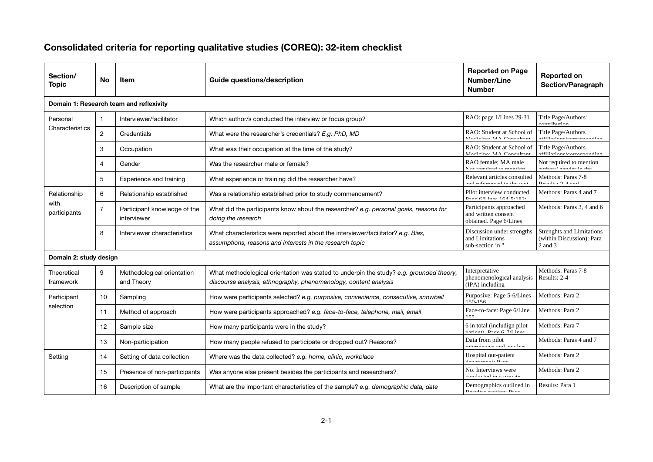## Consolidated criteria for reporting qualitative studies (COREQ): 32-item checklist

| Section/<br><b>Topic</b>                | No.            | <b>Item</b>                                 | Guide questions/description                                                                                                                                 | <b>Reported on Page</b><br>Number/Line<br><b>Number</b>                  | <b>Reported on</b><br><b>Section/Paragraph</b>                            |  |  |  |  |
|-----------------------------------------|----------------|---------------------------------------------|-------------------------------------------------------------------------------------------------------------------------------------------------------------|--------------------------------------------------------------------------|---------------------------------------------------------------------------|--|--|--|--|
| Domain 1: Research team and reflexivity |                |                                             |                                                                                                                                                             |                                                                          |                                                                           |  |  |  |  |
| Personal<br>Characteristics             | $\mathbf 1$    | Interviewer/facilitator                     | Which author/s conducted the interview or focus group?                                                                                                      | RAO: page 1/Lines 29-31                                                  | Title Page/Authors'<br>nambihirilan                                       |  |  |  |  |
|                                         | $\overline{2}$ | Credentials                                 | What were the researcher's credentials? E.g. PhD, MD                                                                                                        | RAO: Student at School of<br>Madioina: MA Concultant                     | Title Page/Authors<br>ffiliatione/correconondina                          |  |  |  |  |
|                                         | 3              | Occupation                                  | What was their occupation at the time of the study?                                                                                                         | RAO: Student at School of<br>Madiaina: MA Cancultant                     | Title Page/Authors<br>.ffiliationaloomaanondina                           |  |  |  |  |
|                                         | 4              | Gender                                      | Was the researcher male or female?                                                                                                                          | RAO female: MA male<br>Mat raquirad to mantion                           | Not required to mention<br>suthora <sup>l</sup> aondor <del>i</del> n tho |  |  |  |  |
|                                         | 5              | Experience and training                     | What experience or training did the researcher have?                                                                                                        | Relevant articles consulted<br>and rafarangad in tha taxt                | Methods: Paras 7-8<br>Docultor $2$ A and                                  |  |  |  |  |
| Relationship<br>with<br>participants    | 6              | Relationship established                    | Was a relationship established prior to study commencement?                                                                                                 | Pilot interview conducted.<br>Doon $6/1$ inne $16/15/100$ .              | Methods: Paras 4 and 7                                                    |  |  |  |  |
|                                         | $\overline{7}$ | Participant knowledge of the<br>interviewer | What did the participants know about the researcher? e.g. personal goals, reasons for<br>doing the research                                                 | Participants approached<br>and written consent<br>obtained. Page 6/Lines | Methods: Paras 3, 4 and 6                                                 |  |  |  |  |
|                                         | 8              | Interviewer characteristics                 | What characteristics were reported about the interviewer/facilitator? e.g. Bias,<br>assumptions, reasons and interests in the research topic                | Discussion under strengths<br>and Limitations<br>sub-section in "        | <b>Strenghts and Limitations</b><br>(within Discussion): Para<br>2 and 3  |  |  |  |  |
| Domain 2: study design                  |                |                                             |                                                                                                                                                             |                                                                          |                                                                           |  |  |  |  |
| Theoretical<br>framework                | 9              | Methodological orientation<br>and Theory    | What methodological orientation was stated to underpin the study? e.g. grounded theory,<br>discourse analysis, ethnography, phenomenology, content analysis | Interpretative<br>phenomenological analysis<br>(IPA) including           | Methods: Paras 7-8<br>Results: 2-4                                        |  |  |  |  |
| Participant<br>selection                | 10             | Sampling                                    | How were participants selected? e.g. purposive, convenience, consecutive, snowball                                                                          | Purposive: Page 5-6/Lines<br>150.156                                     | Methods: Para 2                                                           |  |  |  |  |
|                                         | 11             | Method of approach                          | How were participants approached? e.g. face-to-face, telephone, mail, email                                                                                 | Face-to-face: Page 6/Line<br>155                                         | Methods: Para 2                                                           |  |  |  |  |
|                                         | 12             | Sample size                                 | How many participants were in the study?                                                                                                                    | 6 in total (includign pilot<br>$path$ Daga $6.7$ inge                    | Methods: Para 7                                                           |  |  |  |  |
|                                         | 13             | Non-participation                           | How many people refused to participate or dropped out? Reasons?                                                                                             | Data from pilot<br>intamiamaa and anathar                                | Methods: Paras 4 and 7                                                    |  |  |  |  |
| Setting                                 | 14             | Setting of data collection                  | Where was the data collected? e.g. home, clinic, workplace                                                                                                  | Hospital out-patient<br>danartmanti Daoa                                 | Methods: Para 2                                                           |  |  |  |  |
|                                         | 15             | Presence of non-participants                | Was anyone else present besides the participants and researchers?                                                                                           | No. Interviews were<br>aanduatad in a neivata                            | Methods: Para 2                                                           |  |  |  |  |
|                                         | 16             | Description of sample                       | What are the important characteristics of the sample? e.g. demographic data, date                                                                           | Demographics outlined in<br>Deculted caption: Dona                       | Results: Para 1                                                           |  |  |  |  |